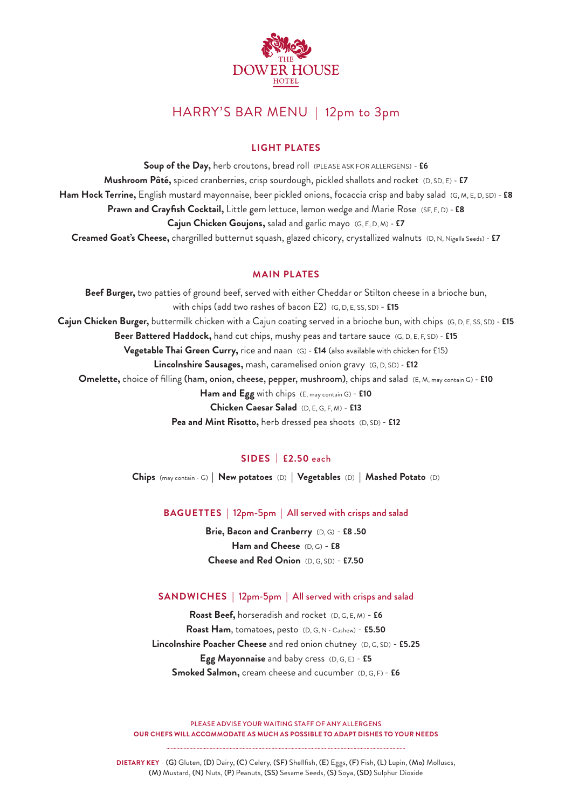

# HARRY'S BAR MENU | 12pm to 3pm

# **LIGHT PLATES**

**Soup of the Day,** herb croutons, bread roll (PLEASE ASK FOR ALLERGENS) - **£6 Mushroom Pâté,** spiced cranberries, crisp sourdough, pickled shallots and rocket (D, SD, E) - **£7 Ham Hock Terrine,** English mustard mayonnaise, beer pickled onions, focaccia crisp and baby salad (G, M, E, D, SD) - **£8 Prawn and Crayfish Cocktail,** Little gem lettuce, lemon wedge and Marie Rose(SF, E, D) - **£8 Cajun Chicken Goujons,** salad and garlic mayo(G, E, D, M) - **£7 Creamed Goat's Cheese,** chargrilled butternut squash, glazed chicory, crystallized walnuts (D, N, Nigella Seeds) - **£7**

### **MAIN PLATES**

**Beef Burger,** two patties of ground beef, served with either Cheddar or Stilton cheese in a brioche bun, with chips (add two rashes of bacon £2) (G, D, E, SS, SD) - **£15 Cajun Chicken Burger,** buttermilk chicken with a Cajun coating served in a brioche bun, with chips (G, D, E, SS, SD) - **£15 Beer Battered Haddock,** hand cut chips, mushy peas and tartare sauce (G, D, E, F, SD) - **£15 Vegetable Thai Green Curry,** rice and naan (G) - **£14** (also available with chicken for £15) **Lincolnshire Sausages,** mash, caramelised onion gravy (G, D, SD) - **£12 Omelette,** choice of filling (ham, onion, cheese, pepper, mushroom), chips and salad (E, M, may contain G) - **£10 Ham and Egg** with chips(E, may contain G) - **£10 Chicken Caesar Salad** (D, E, G, F, M) - **£13 Pea and Mint Risotto,** herb dressed pea shoots (D, SD) - **£12**

# **SIDES | £2.50** each

**Chips** (may contain - G) **| New potatoes** (D) **| Vegetables** (D) **| Mashed Potato** (D)

**BAGUETTES |** 12pm-5pm | All served with crisps and salad

**Brie, Bacon and Cranberry** (D, G) - **£8 .50 Ham and Cheese** (D, G) - **£8 Cheese and Red Onion** (D, G, SD) - **£7.50**

### **SANDWICHES |** 12pm-5pm | All served with crisps and salad

**Roast Beef,** horseradish and rocket (D, G, E, M) - **£6 Roast Ham**, tomatoes, pesto(D, G, N - Cashew) - **£5.50 Lincolnshire Poacher Cheese** and red onion chutney(D, G, SD) - **£5.25 Egg Mayonnaise** and baby cress(D, G, E) - **£5 Smoked Salmon,** cream cheese and cucumber(D, G, F) - **£6**

PLEASE ADVISE YOUR WAITING STAFF OF ANY ALLERGENS **OUR CHEFS WILL ACCOMMODATE AS MUCH AS POSSIBLE TO ADAPT DISHES TO YOUR NEEDS**